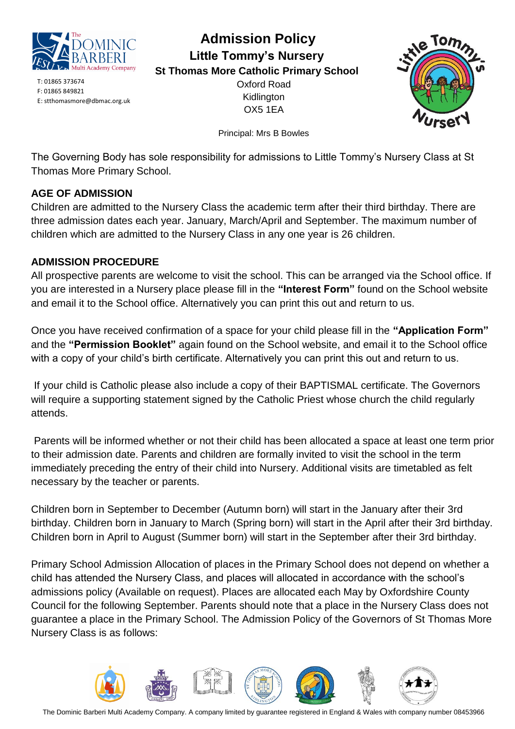

T: 01865 373674 F: 01865 849821 E: stthomasmore@dbmac.org.uk

## **Admission Policy Little Tommy's Nursery St Thomas More Catholic Primary School**

Oxford Road Kidlington OX5 1EA



Principal: Mrs B Bowles

The Governing Body has sole responsibility for admissions to Little Tommy's Nursery Class at St Thomas More Primary School.

### **AGE OF ADMISSION**

Children are admitted to the Nursery Class the academic term after their third birthday. There are three admission dates each year. January, March/April and September. The maximum number of children which are admitted to the Nursery Class in any one year is 26 children.

#### **ADMISSION PROCEDURE**

All prospective parents are welcome to visit the school. This can be arranged via the School office. If you are interested in a Nursery place please fill in the **"Interest Form"** found on the School website and email it to the School office. Alternatively you can print this out and return to us.

Once you have received confirmation of a space for your child please fill in the **"Application Form"** and the **"Permission Booklet"** again found on the School website, and email it to the School office with a copy of your child's birth certificate. Alternatively you can print this out and return to us.

If your child is Catholic please also include a copy of their BAPTISMAL certificate. The Governors will require a supporting statement signed by the Catholic Priest whose church the child regularly attends.

Parents will be informed whether or not their child has been allocated a space at least one term prior to their admission date. Parents and children are formally invited to visit the school in the term immediately preceding the entry of their child into Nursery. Additional visits are timetabled as felt necessary by the teacher or parents.

Children born in September to December (Autumn born) will start in the January after their 3rd birthday. Children born in January to March (Spring born) will start in the April after their 3rd birthday. Children born in April to August (Summer born) will start in the September after their 3rd birthday.

Primary School Admission Allocation of places in the Primary School does not depend on whether a child has attended the Nursery Class, and places will allocated in accordance with the school's admissions policy (Available on request). Places are allocated each May by Oxfordshire County Council for the following September. Parents should note that a place in the Nursery Class does not guarantee a place in the Primary School. The Admission Policy of the Governors of St Thomas More Nursery Class is as follows:

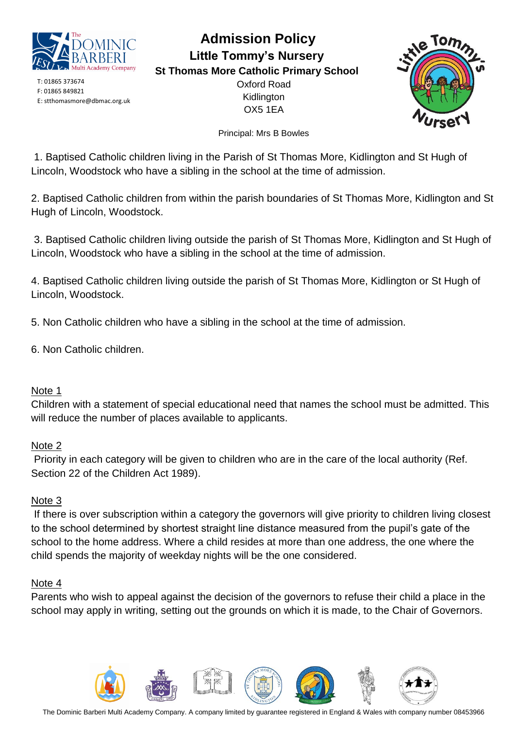

T: 01865 373674 F: 01865 849821 E: stthomasmore@dbmac.org.uk

### **Admission Policy Little Tommy's Nursery St Thomas More Catholic Primary School** Oxford Road

Kidlington OX5 1EA



Principal: Mrs B Bowles

1. Baptised Catholic children living in the Parish of St Thomas More, Kidlington and St Hugh of Lincoln, Woodstock who have a sibling in the school at the time of admission.

2. Baptised Catholic children from within the parish boundaries of St Thomas More, Kidlington and St Hugh of Lincoln, Woodstock.

3. Baptised Catholic children living outside the parish of St Thomas More, Kidlington and St Hugh of Lincoln, Woodstock who have a sibling in the school at the time of admission.

4. Baptised Catholic children living outside the parish of St Thomas More, Kidlington or St Hugh of Lincoln, Woodstock.

5. Non Catholic children who have a sibling in the school at the time of admission.

6. Non Catholic children.

#### Note 1

Children with a statement of special educational need that names the school must be admitted. This will reduce the number of places available to applicants.

#### Note 2

Priority in each category will be given to children who are in the care of the local authority (Ref. Section 22 of the Children Act 1989).

#### Note 3

If there is over subscription within a category the governors will give priority to children living closest to the school determined by shortest straight line distance measured from the pupil's gate of the school to the home address. Where a child resides at more than one address, the one where the child spends the majority of weekday nights will be the one considered.

#### Note 4

Parents who wish to appeal against the decision of the governors to refuse their child a place in the school may apply in writing, setting out the grounds on which it is made, to the Chair of Governors.